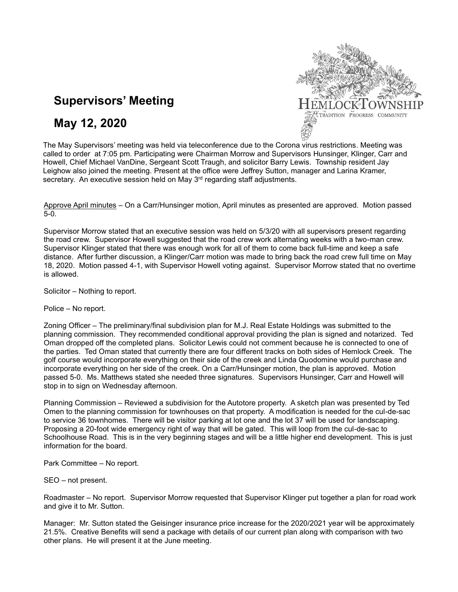

# **Supervisors' Meeting**

## **May 12, 2020**

The May Supervisors' meeting was held via teleconference due to the Corona virus restrictions. Meeting was called to order at 7:05 pm. Participating were Chairman Morrow and Supervisors Hunsinger, Klinger, Carr and Howell, Chief Michael VanDine, Sergeant Scott Traugh, and solicitor Barry Lewis. Township resident Jay Leighow also joined the meeting. Present at the office were Jeffrey Sutton, manager and Larina Kramer, secretary. An executive session held on May  $3<sup>rd</sup>$  regarding staff adjustments.

Approve April minutes – On a Carr/Hunsinger motion, April minutes as presented are approved. Motion passed 5-0.

Supervisor Morrow stated that an executive session was held on 5/3/20 with all supervisors present regarding the road crew. Supervisor Howell suggested that the road crew work alternating weeks with a two-man crew. Supervisor Klinger stated that there was enough work for all of them to come back full-time and keep a safe distance. After further discussion, a Klinger/Carr motion was made to bring back the road crew full time on May 18, 2020. Motion passed 4-1, with Supervisor Howell voting against. Supervisor Morrow stated that no overtime is allowed.

Solicitor – Nothing to report.

Police – No report.

Zoning Officer – The preliminary/final subdivision plan for M.J. Real Estate Holdings was submitted to the planning commission. They recommended conditional approval providing the plan is signed and notarized. Ted Oman dropped off the completed plans. Solicitor Lewis could not comment because he is connected to one of the parties. Ted Oman stated that currently there are four different tracks on both sides of Hemlock Creek. The golf course would incorporate everything on their side of the creek and Linda Quodomine would purchase and incorporate everything on her side of the creek. On a Carr/Hunsinger motion, the plan is approved. Motion passed 5-0. Ms. Matthews stated she needed three signatures. Supervisors Hunsinger, Carr and Howell will stop in to sign on Wednesday afternoon.

Planning Commission – Reviewed a subdivision for the Autotore property. A sketch plan was presented by Ted Omen to the planning commission for townhouses on that property. A modification is needed for the cul-de-sac to service 36 townhomes. There will be visitor parking at lot one and the lot 37 will be used for landscaping. Proposing a 20-foot wide emergency right of way that will be gated. This will loop from the cul-de-sac to Schoolhouse Road. This is in the very beginning stages and will be a little higher end development. This is just information for the board.

Park Committee – No report.

SEO – not present.

Roadmaster – No report. Supervisor Morrow requested that Supervisor Klinger put together a plan for road work and give it to Mr. Sutton.

Manager: Mr. Sutton stated the Geisinger insurance price increase for the 2020/2021 year will be approximately 21.5%. Creative Benefits will send a package with details of our current plan along with comparison with two other plans. He will present it at the June meeting.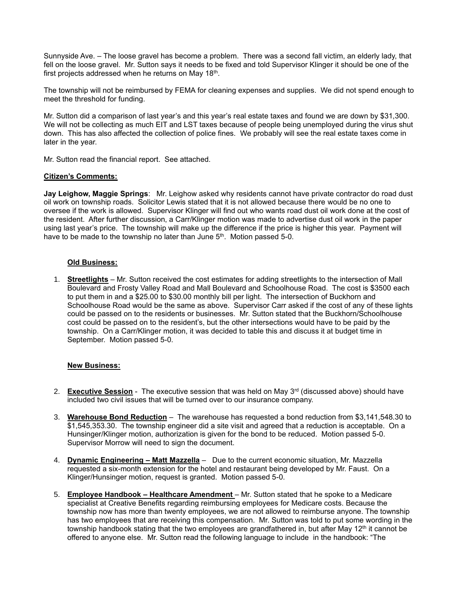Sunnyside Ave. – The loose gravel has become a problem. There was a second fall victim, an elderly lady, that fell on the loose gravel. Mr. Sutton says it needs to be fixed and told Supervisor Klinger it should be one of the first projects addressed when he returns on May 18<sup>th</sup>.

The township will not be reimbursed by FEMA for cleaning expenses and supplies. We did not spend enough to meet the threshold for funding.

Mr. Sutton did a comparison of last year's and this year's real estate taxes and found we are down by \$31,300. We will not be collecting as much EIT and LST taxes because of people being unemployed during the virus shut down. This has also affected the collection of police fines. We probably will see the real estate taxes come in later in the year.

Mr. Sutton read the financial report. See attached.

#### **Citizen's Comments:**

**Jay Leighow, Maggie Springs**:Mr. Leighow asked why residents cannot have private contractor do road dust oil work on township roads. Solicitor Lewis stated that it is not allowed because there would be no one to oversee if the work is allowed. Supervisor Klinger will find out who wants road dust oil work done at the cost of the resident. After further discussion, a Carr/Klinger motion was made to advertise dust oil work in the paper using last year's price. The township will make up the difference if the price is higher this year. Payment will have to be made to the township no later than June 5<sup>th</sup>. Motion passed 5-0.

#### **Old Business:**

1. **Streetlights** – Mr. Sutton received the cost estimates for adding streetlights to the intersection of Mall Boulevard and Frosty Valley Road and Mall Boulevard and Schoolhouse Road. The cost is \$3500 each to put them in and a \$25.00 to \$30.00 monthly bill per light. The intersection of Buckhorn and Schoolhouse Road would be the same as above. Supervisor Carr asked if the cost of any of these lights could be passed on to the residents or businesses. Mr. Sutton stated that the Buckhorn/Schoolhouse cost could be passed on to the resident's, but the other intersections would have to be paid by the township. On a Carr/Klinger motion, it was decided to table this and discuss it at budget time in September. Motion passed 5-0.

#### **New Business:**

- 2. **Executive Session** The executive session that was held on May 3<sup>rd</sup> (discussed above) should have included two civil issues that will be turned over to our insurance company.
- 3. **Warehouse Bond Reduction** The warehouse has requested a bond reduction from \$3,141,548.30 to \$1,545,353.30. The township engineer did a site visit and agreed that a reduction is acceptable. On a Hunsinger/Klinger motion, authorization is given for the bond to be reduced. Motion passed 5-0. Supervisor Morrow will need to sign the document.
- 4. **Dynamic Engineering – Matt Mazzella** Due to the current economic situation, Mr. Mazzella requested a six-month extension for the hotel and restaurant being developed by Mr. Faust. On a Klinger/Hunsinger motion, request is granted. Motion passed 5-0.
- 5. **Employee Handbook – Healthcare Amendment**  Mr. Sutton stated that he spoke to a Medicare specialist at Creative Benefits regarding reimbursing employees for Medicare costs. Because the township now has more than twenty employees, we are not allowed to reimburse anyone. The township has two employees that are receiving this compensation. Mr. Sutton was told to put some wording in the township handbook stating that the two employees are grandfathered in, but after May 12<sup>th</sup> it cannot be offered to anyone else. Mr. Sutton read the following language to include in the handbook: "The